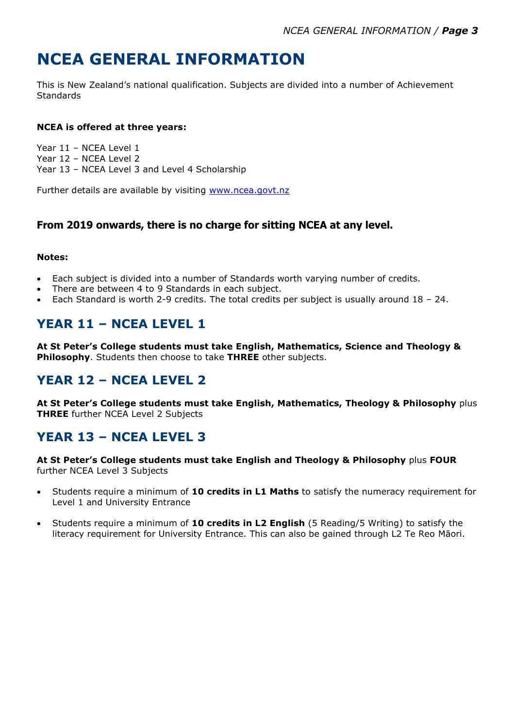# **NCEA GENERAL INFORMATION**

This is New Zealand's national qualification. Subjects are divided into a number of Achievement **Standards** 

#### **NCEA is offered at three years:**

Year 11 – NCEA Level 1 Year 12 – NCEA Level 2 Year 13 – NCEA Level 3 and Level 4 Scholarship

Further details are available by visiting [www.ncea.govt.nz](http://www.ncea.govt.nz/)

#### **From 2019 onwards, there is no charge for sitting NCEA at any level.**

#### **Notes:**

- Each subject is divided into a number of Standards worth varying number of credits.
- There are between 4 to 9 Standards in each subject.
- Each Standard is worth 2-9 credits. The total credits per subject is usually around  $18 24$ .

## **YEAR 11 – NCEA LEVEL 1**

**At St Peter's College students must take English, Mathematics, Science and Theology & Philosophy**. Students then choose to take **THREE** other subjects.

### **YEAR 12 – NCEA LEVEL 2**

**At St Peter's College students must take English, Mathematics, Theology & Philosophy** plus **THREE** further NCEA Level 2 Subjects

### **YEAR 13 – NCEA LEVEL 3**

**At St Peter's College students must take English and Theology & Philosophy** plus **FOUR** further NCEA Level 3 Subjects

- Students require a minimum of **10 credits in L1 Maths** to satisfy the numeracy requirement for Level 1 and University Entrance
- Students require a minimum of **10 credits in L2 English** (5 Reading/5 Writing) to satisfy the literacy requirement for University Entrance. This can also be gained through L2 Te Reo Māori.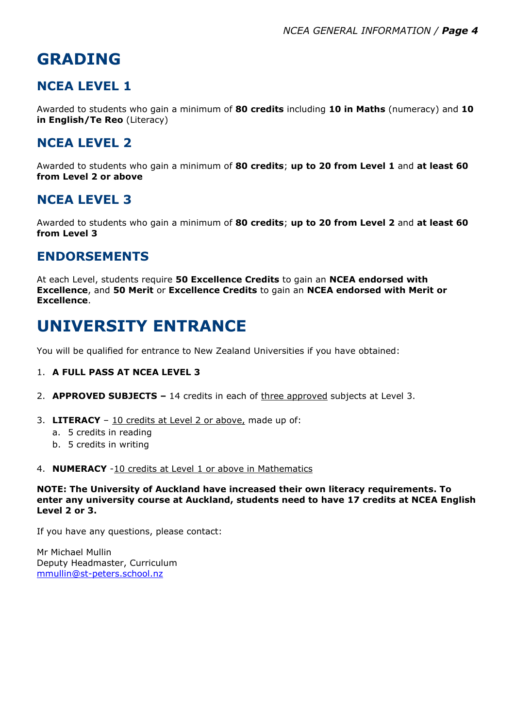# **GRADING**

### **NCEA LEVEL 1**

Awarded to students who gain a minimum of **80 credits** including **10 in Maths** (numeracy) and **10 in English/Te Reo** (Literacy)

### **NCEA LEVEL 2**

Awarded to students who gain a minimum of **80 credits**; **up to 20 from Level 1** and **at least 60 from Level 2 or above**

#### **NCEA LEVEL 3**

Awarded to students who gain a minimum of **80 credits**; **up to 20 from Level 2** and **at least 60 from Level 3**

#### **ENDORSEMENTS**

At each Level, students require **50 Excellence Credits** to gain an **NCEA endorsed with Excellence**, and **50 Merit** or **Excellence Credits** to gain an **NCEA endorsed with Merit or Excellence**.

## **UNIVERSITY ENTRANCE**

You will be qualified for entrance to New Zealand Universities if you have obtained:

#### 1. **A FULL PASS AT NCEA LEVEL 3**

- 2. **APPROVED SUBJECTS –** 14 credits in each of three approved subjects at Level 3.
- 3. **LITERACY** 10 credits at Level 2 or above, made up of:
	- a. 5 credits in reading
	- b. 5 credits in writing
- 4. **NUMERACY** -10 credits at Level 1 or above in Mathematics

**NOTE: The University of Auckland have increased their own literacy requirements. To enter any university course at Auckland, students need to have 17 credits at NCEA English Level 2 or 3.**

If you have any questions, please contact:

Mr Michael Mullin Deputy Headmaster, Curriculum [mmullin@st-peters.school.nz](mailto:mmullin@st-peters.school.nz)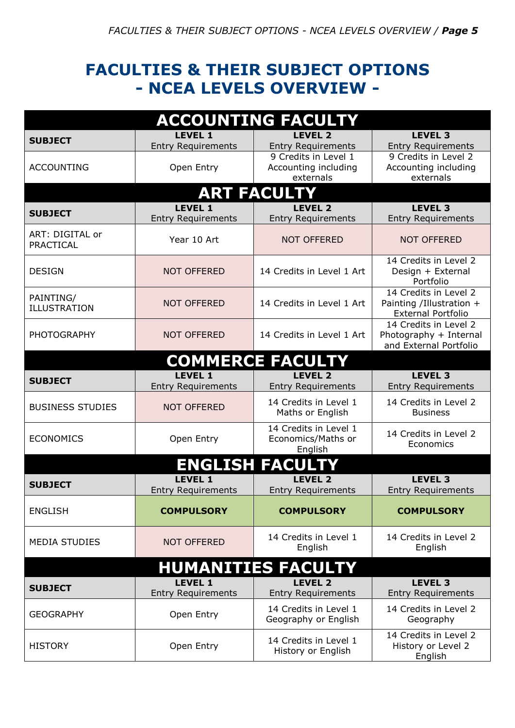## **FACULTIES & THEIR SUBJECT OPTIONS - NCEA LEVELS OVERVIEW -**

| <b>ACCOUNTING FACULTY</b>        |                                             |                                                           |                                                                                |  |
|----------------------------------|---------------------------------------------|-----------------------------------------------------------|--------------------------------------------------------------------------------|--|
| <b>SUBJECT</b>                   | <b>LEVEL 1</b><br><b>Entry Requirements</b> | <b>LEVEL 2</b><br><b>Entry Requirements</b>               | <b>LEVEL 3</b><br><b>Entry Requirements</b>                                    |  |
| <b>ACCOUNTING</b>                | Open Entry                                  | 9 Credits in Level 1<br>Accounting including<br>externals | 9 Credits in Level 2<br>Accounting including<br>externals                      |  |
|                                  |                                             | <b>ART FACULTY</b>                                        |                                                                                |  |
| <b>SUBJECT</b>                   | <b>LEVEL 1</b><br><b>Entry Requirements</b> | <b>LEVEL 2</b><br><b>Entry Requirements</b>               | <b>LEVEL 3</b><br><b>Entry Requirements</b>                                    |  |
| ART: DIGITAL or<br>PRACTICAL     | Year 10 Art                                 | <b>NOT OFFERED</b>                                        | <b>NOT OFFERED</b>                                                             |  |
| <b>DESIGN</b>                    | <b>NOT OFFERED</b>                          | 14 Credits in Level 1 Art                                 | 14 Credits in Level 2<br>Design + External<br>Portfolio                        |  |
| PAINTING/<br><b>ILLUSTRATION</b> | <b>NOT OFFERED</b>                          | 14 Credits in Level 1 Art                                 | 14 Credits in Level 2<br>Painting /Illustration +<br><b>External Portfolio</b> |  |
| <b>PHOTOGRAPHY</b>               | <b>NOT OFFERED</b>                          | 14 Credits in Level 1 Art                                 | 14 Credits in Level 2<br>Photography + Internal<br>and External Portfolio      |  |
|                                  |                                             | <b>COMMERCE FACULTY</b>                                   |                                                                                |  |
| <b>SUBJECT</b>                   | <b>LEVEL 1</b><br><b>Entry Requirements</b> | LEVEL <sub>2</sub><br><b>Entry Requirements</b>           | <b>LEVEL 3</b><br><b>Entry Requirements</b>                                    |  |
| <b>BUSINESS STUDIES</b>          | <b>NOT OFFERED</b>                          | 14 Credits in Level 1<br>Maths or English                 | 14 Credits in Level 2<br><b>Business</b>                                       |  |
| <b>ECONOMICS</b>                 | Open Entry                                  | 14 Credits in Level 1<br>Economics/Maths or<br>English    | 14 Credits in Level 2<br>Economics                                             |  |
| <b>ENGLISH FACULTY</b>           |                                             |                                                           |                                                                                |  |
| <b>SUBJECT</b>                   | <b>LEVEL 1</b><br><b>Entry Requirements</b> | <b>LEVEL 2</b><br><b>Entry Requirements</b>               | <b>LEVEL 3</b><br><b>Entry Requirements</b>                                    |  |
| <b>ENGLISH</b>                   | <b>COMPULSORY</b>                           | <b>COMPULSORY</b>                                         | <b>COMPULSORY</b>                                                              |  |
| <b>MEDIA STUDIES</b>             | <b>NOT OFFERED</b>                          | 14 Credits in Level 1<br>English                          | 14 Credits in Level 2<br>English                                               |  |
| <b>HUMANITIES FACULTY</b>        |                                             |                                                           |                                                                                |  |
| <b>SUBJECT</b>                   | <b>LEVEL 1</b><br><b>Entry Requirements</b> | <b>LEVEL 2</b><br><b>Entry Requirements</b>               | LEVEL 3<br><b>Entry Requirements</b>                                           |  |
| <b>GEOGRAPHY</b>                 | Open Entry                                  | 14 Credits in Level 1<br>Geography or English             | 14 Credits in Level 2<br>Geography                                             |  |
| <b>HISTORY</b>                   | Open Entry                                  | 14 Credits in Level 1<br>History or English               | 14 Credits in Level 2<br>History or Level 2<br>English                         |  |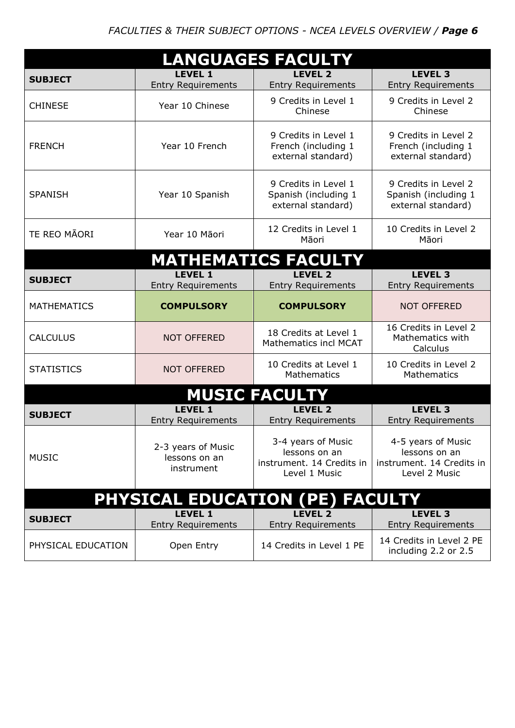| <b>LANGUAGES FACULTY</b>        |                                                   |                                                                                   |                                                                                   |  |
|---------------------------------|---------------------------------------------------|-----------------------------------------------------------------------------------|-----------------------------------------------------------------------------------|--|
| <b>SUBJECT</b>                  | <b>LEVEL 1</b><br><b>Entry Requirements</b>       | <b>LEVEL 2</b><br><b>Entry Requirements</b>                                       | <b>LEVEL 3</b><br><b>Entry Requirements</b>                                       |  |
| <b>CHINESE</b>                  | Year 10 Chinese                                   | 9 Credits in Level 1<br>Chinese                                                   | 9 Credits in Level 2<br>Chinese                                                   |  |
| <b>FRENCH</b>                   | Year 10 French                                    | 9 Credits in Level 1<br>French (including 1<br>external standard)                 | 9 Credits in Level 2<br>French (including 1<br>external standard)                 |  |
| <b>SPANISH</b>                  | Year 10 Spanish                                   | 9 Credits in Level 1<br>Spanish (including 1<br>external standard)                | 9 Credits in Level 2<br>Spanish (including 1<br>external standard)                |  |
| <b>TE REO MAORI</b>             | Year 10 Māori                                     | 12 Credits in Level 1<br>Māori                                                    | 10 Credits in Level 2<br>Māori                                                    |  |
|                                 |                                                   | <b>MATHEMATICS FACULTY</b>                                                        |                                                                                   |  |
| <b>SUBJECT</b>                  | <b>LEVEL 1</b><br><b>Entry Requirements</b>       | <b>LEVEL 2</b><br><b>Entry Requirements</b>                                       | <b>LEVEL 3</b><br><b>Entry Requirements</b>                                       |  |
| <b>MATHEMATICS</b>              | <b>COMPULSORY</b>                                 | <b>COMPULSORY</b>                                                                 | <b>NOT OFFERED</b>                                                                |  |
| <b>CALCULUS</b>                 | <b>NOT OFFERED</b>                                | 18 Credits at Level 1<br><b>Mathematics incl MCAT</b>                             | 16 Credits in Level 2<br>Mathematics with<br>Calculus                             |  |
| <b>STATISTICS</b>               | <b>NOT OFFERED</b>                                | 10 Credits at Level 1<br>Mathematics                                              | 10 Credits in Level 2<br>Mathematics                                              |  |
| <b>MUSIC FACULTY</b>            |                                                   |                                                                                   |                                                                                   |  |
| <b>SUBJECT</b>                  | <b>LEVEL 1</b><br><b>Entry Requirements</b>       | <b>LEVEL 2</b><br><b>Entry Requirements</b>                                       | <b>LEVEL 3</b><br><b>Entry Requirements</b>                                       |  |
| <b>MUSIC</b>                    | 2-3 years of Music<br>lessons on an<br>instrument | 3-4 years of Music<br>lessons on an<br>instrument. 14 Credits in<br>Level 1 Music | 4-5 years of Music<br>lessons on an<br>instrument. 14 Credits in<br>Level 2 Music |  |
| PHYSICAL EDUCATION (PE) FACULTY |                                                   |                                                                                   |                                                                                   |  |
| <b>SUBJECT</b>                  | <b>LEVEL 1</b><br><b>Entry Requirements</b>       | <b>LEVEL 2</b><br><b>Entry Requirements</b>                                       | <b>LEVEL 3</b><br><b>Entry Requirements</b>                                       |  |
| PHYSICAL EDUCATION              | Open Entry                                        | 14 Credits in Level 1 PE                                                          | 14 Credits in Level 2 PE<br>including 2.2 or 2.5                                  |  |